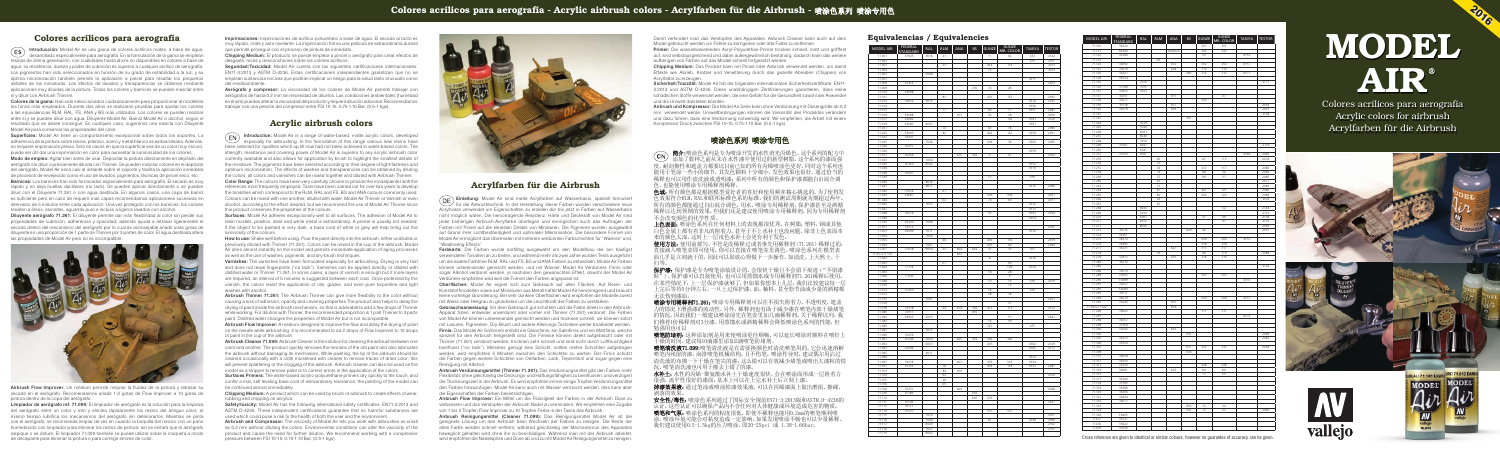#### Equivalencias / Equivalencies

| 71.001<br>37925<br>9016<br>21<br>11<br>62<br>XF <sub>2</sub><br>2142<br>71.002<br>XF3<br>2011<br>23<br>114<br>71.003<br>414<br>2073<br>71.004<br>15<br>2012<br>71.005<br>5008<br>XF11<br>71.007<br>71.008<br>35414<br>2033<br>216<br>74<br>71.009<br>26<br>71.010<br>34098<br>423<br>123<br>71.011<br>83<br>2092<br>71.013<br>34052<br>6015<br>XF74<br>2025<br>71.014<br>XF26<br>XF51<br>71.015<br>71<br>64<br>17<br>2081<br>613<br>52<br>2050<br>71.016<br>34088<br>38<br>XF81<br>2129<br>71.017<br>34082<br>136<br>71.019<br>34083<br>6007<br>XF61<br>18<br>2080<br>71.021<br>70<br>65<br>XF58<br>34095<br>71.022<br>82<br>422<br>122<br>2091<br>34201<br>71.023<br>7028<br>39<br>XF60<br>2095<br>71.025<br>403<br>71.026<br>30215<br>71.030<br>XF59<br>71.031<br>30266<br>615<br>362<br>71<br>21<br>2052<br>71.033<br>1006<br>30140<br>8025<br>XF52<br>71 035<br>71.036<br>XF79<br>30097<br>71.038<br>13<br>XF9<br>71.039<br>8014<br>71.040<br>8017<br>XF10<br>2096<br>71.041<br>71.042<br>37056<br>61<br>71.043<br>34087<br>304<br>304<br>2051<br>71.044<br>02<br>70<br>60<br>2071<br>7033<br>XF12<br>71.045<br>71.047<br>XF75<br>71.048<br>36076<br>32<br>XF63<br>2034<br>71.049<br>XF54<br>71.050<br>36300<br>7046<br>71.051<br>36173<br>2035<br><b>XF50</b><br>71.053<br>36099<br>7011<br>71.054<br>7024<br>71.055<br>116<br>66<br>416<br>2079<br>71.056<br>7021<br>401<br>40<br>2094<br>37038<br>71.057<br>9004<br>$\overline{22}$<br>604<br>642<br>12<br>33<br>XF1<br>71.057+71.510<br>622<br>$_{\rm 8}$<br>XF16<br>71.062<br>$\overline{01}$<br>90<br>71.063<br>71.064<br>17178<br>104<br>XF56<br>71.065<br>18<br>28<br>17043<br>71.066<br>$\mathbf{Q}$<br>71.068<br>10<br>10<br>XF6<br>2019<br>71 0 70<br>75<br>37200<br>71.072<br>76<br>X10<br>71.073<br>28<br>78<br>1001<br>71.075<br>2021<br>51<br>71.076<br>04<br>33538<br>614<br>356<br>413<br>2072<br>113<br>71.078<br>71.080<br>30111<br>435<br>38903<br>2005<br>171<br>71.082<br>2041<br>71.083<br>14<br>59<br>XF7<br>71.085<br>327<br>71.087<br>5013<br>71.090<br>35056<br>71.091<br>35044<br>5004<br>605<br>106<br>326<br>326<br>71.092<br>6003<br>405<br>XF62<br>2149<br>34094<br>2173<br>71.093<br>XF65<br>6011<br>71.095<br>71.096<br>XF <sub>22</sub><br>71.097<br>36118<br>603<br>305<br>305<br>XF24<br>71.101<br>35352<br>78<br>418<br>118<br>XF <sub>23</sub><br>2087<br>610<br>71.103<br>84<br>2076<br>71.104<br>62<br>71.105<br>26<br>71.106<br>05<br>71.108<br>35231<br>609<br>2048<br>71.109<br>35189<br>636<br>640<br>333<br>71.110<br>71.111<br>35109<br>2031<br>71.113<br>35177<br>71.114<br>35237<br>337<br>337<br>71.115<br>7016<br>2101<br>XF49<br>$_{81}$<br>7008<br>2098<br>71 116<br>71.117<br>8020<br>2102<br>7027<br>2103<br>71 118<br>71.119<br>9002 | MODEL AIR | <b>FEDERAL</b><br><b>STANDARD</b> | <b>RAL</b> | <b>RLM</b> | ANA | <b>BS</b> | <b>GUNZE</b> | GUNZE<br>MR. COLOR | TAMIYA | <b>TESTOR</b> |
|--------------------------------------------------------------------------------------------------------------------------------------------------------------------------------------------------------------------------------------------------------------------------------------------------------------------------------------------------------------------------------------------------------------------------------------------------------------------------------------------------------------------------------------------------------------------------------------------------------------------------------------------------------------------------------------------------------------------------------------------------------------------------------------------------------------------------------------------------------------------------------------------------------------------------------------------------------------------------------------------------------------------------------------------------------------------------------------------------------------------------------------------------------------------------------------------------------------------------------------------------------------------------------------------------------------------------------------------------------------------------------------------------------------------------------------------------------------------------------------------------------------------------------------------------------------------------------------------------------------------------------------------------------------------------------------------------------------------------------------------------------------------------------------------------------------------------------------------------------------------------------------------------------------------------------------------------------------------------------------------------------------------------------------------------------------------------------------------------------------------------------------------------------------------------------------------------------------------------------------------------------------------------------------------------------------------------------------------------------------------------------------------------------------------------------------------------------------------------------------------------------------------------------------------------------------------------------------------------------------------------------------------------------------------------------------------------------------------------------------------------|-----------|-----------------------------------|------------|------------|-----|-----------|--------------|--------------------|--------|---------------|
|                                                                                                                                                                                                                                                                                                                                                                                                                                                                                                                                                                                                                                                                                                                                                                                                                                                                                                                                                                                                                                                                                                                                                                                                                                                                                                                                                                                                                                                                                                                                                                                                                                                                                                                                                                                                                                                                                                                                                                                                                                                                                                                                                                                                                                                                                                                                                                                                                                                                                                                                                                                                                                                                                                                                                  |           |                                   |            |            |     |           |              |                    |        |               |
|                                                                                                                                                                                                                                                                                                                                                                                                                                                                                                                                                                                                                                                                                                                                                                                                                                                                                                                                                                                                                                                                                                                                                                                                                                                                                                                                                                                                                                                                                                                                                                                                                                                                                                                                                                                                                                                                                                                                                                                                                                                                                                                                                                                                                                                                                                                                                                                                                                                                                                                                                                                                                                                                                                                                                  |           |                                   |            |            |     |           |              |                    |        |               |
|                                                                                                                                                                                                                                                                                                                                                                                                                                                                                                                                                                                                                                                                                                                                                                                                                                                                                                                                                                                                                                                                                                                                                                                                                                                                                                                                                                                                                                                                                                                                                                                                                                                                                                                                                                                                                                                                                                                                                                                                                                                                                                                                                                                                                                                                                                                                                                                                                                                                                                                                                                                                                                                                                                                                                  |           |                                   |            |            |     |           |              |                    |        |               |
|                                                                                                                                                                                                                                                                                                                                                                                                                                                                                                                                                                                                                                                                                                                                                                                                                                                                                                                                                                                                                                                                                                                                                                                                                                                                                                                                                                                                                                                                                                                                                                                                                                                                                                                                                                                                                                                                                                                                                                                                                                                                                                                                                                                                                                                                                                                                                                                                                                                                                                                                                                                                                                                                                                                                                  |           |                                   |            |            |     |           |              |                    |        |               |
|                                                                                                                                                                                                                                                                                                                                                                                                                                                                                                                                                                                                                                                                                                                                                                                                                                                                                                                                                                                                                                                                                                                                                                                                                                                                                                                                                                                                                                                                                                                                                                                                                                                                                                                                                                                                                                                                                                                                                                                                                                                                                                                                                                                                                                                                                                                                                                                                                                                                                                                                                                                                                                                                                                                                                  |           |                                   |            |            |     |           |              |                    |        |               |
|                                                                                                                                                                                                                                                                                                                                                                                                                                                                                                                                                                                                                                                                                                                                                                                                                                                                                                                                                                                                                                                                                                                                                                                                                                                                                                                                                                                                                                                                                                                                                                                                                                                                                                                                                                                                                                                                                                                                                                                                                                                                                                                                                                                                                                                                                                                                                                                                                                                                                                                                                                                                                                                                                                                                                  |           |                                   |            |            |     |           |              |                    |        |               |
|                                                                                                                                                                                                                                                                                                                                                                                                                                                                                                                                                                                                                                                                                                                                                                                                                                                                                                                                                                                                                                                                                                                                                                                                                                                                                                                                                                                                                                                                                                                                                                                                                                                                                                                                                                                                                                                                                                                                                                                                                                                                                                                                                                                                                                                                                                                                                                                                                                                                                                                                                                                                                                                                                                                                                  |           |                                   |            |            |     |           |              |                    |        |               |
|                                                                                                                                                                                                                                                                                                                                                                                                                                                                                                                                                                                                                                                                                                                                                                                                                                                                                                                                                                                                                                                                                                                                                                                                                                                                                                                                                                                                                                                                                                                                                                                                                                                                                                                                                                                                                                                                                                                                                                                                                                                                                                                                                                                                                                                                                                                                                                                                                                                                                                                                                                                                                                                                                                                                                  |           |                                   |            |            |     |           |              |                    |        |               |
|                                                                                                                                                                                                                                                                                                                                                                                                                                                                                                                                                                                                                                                                                                                                                                                                                                                                                                                                                                                                                                                                                                                                                                                                                                                                                                                                                                                                                                                                                                                                                                                                                                                                                                                                                                                                                                                                                                                                                                                                                                                                                                                                                                                                                                                                                                                                                                                                                                                                                                                                                                                                                                                                                                                                                  |           |                                   |            |            |     |           |              |                    |        |               |
|                                                                                                                                                                                                                                                                                                                                                                                                                                                                                                                                                                                                                                                                                                                                                                                                                                                                                                                                                                                                                                                                                                                                                                                                                                                                                                                                                                                                                                                                                                                                                                                                                                                                                                                                                                                                                                                                                                                                                                                                                                                                                                                                                                                                                                                                                                                                                                                                                                                                                                                                                                                                                                                                                                                                                  |           |                                   |            |            |     |           |              |                    |        |               |
|                                                                                                                                                                                                                                                                                                                                                                                                                                                                                                                                                                                                                                                                                                                                                                                                                                                                                                                                                                                                                                                                                                                                                                                                                                                                                                                                                                                                                                                                                                                                                                                                                                                                                                                                                                                                                                                                                                                                                                                                                                                                                                                                                                                                                                                                                                                                                                                                                                                                                                                                                                                                                                                                                                                                                  |           |                                   |            |            |     |           |              |                    |        |               |
|                                                                                                                                                                                                                                                                                                                                                                                                                                                                                                                                                                                                                                                                                                                                                                                                                                                                                                                                                                                                                                                                                                                                                                                                                                                                                                                                                                                                                                                                                                                                                                                                                                                                                                                                                                                                                                                                                                                                                                                                                                                                                                                                                                                                                                                                                                                                                                                                                                                                                                                                                                                                                                                                                                                                                  |           |                                   |            |            |     |           |              |                    |        |               |
|                                                                                                                                                                                                                                                                                                                                                                                                                                                                                                                                                                                                                                                                                                                                                                                                                                                                                                                                                                                                                                                                                                                                                                                                                                                                                                                                                                                                                                                                                                                                                                                                                                                                                                                                                                                                                                                                                                                                                                                                                                                                                                                                                                                                                                                                                                                                                                                                                                                                                                                                                                                                                                                                                                                                                  |           |                                   |            |            |     |           |              |                    |        |               |
|                                                                                                                                                                                                                                                                                                                                                                                                                                                                                                                                                                                                                                                                                                                                                                                                                                                                                                                                                                                                                                                                                                                                                                                                                                                                                                                                                                                                                                                                                                                                                                                                                                                                                                                                                                                                                                                                                                                                                                                                                                                                                                                                                                                                                                                                                                                                                                                                                                                                                                                                                                                                                                                                                                                                                  |           |                                   |            |            |     |           |              |                    |        |               |
|                                                                                                                                                                                                                                                                                                                                                                                                                                                                                                                                                                                                                                                                                                                                                                                                                                                                                                                                                                                                                                                                                                                                                                                                                                                                                                                                                                                                                                                                                                                                                                                                                                                                                                                                                                                                                                                                                                                                                                                                                                                                                                                                                                                                                                                                                                                                                                                                                                                                                                                                                                                                                                                                                                                                                  |           |                                   |            |            |     |           |              |                    |        |               |
|                                                                                                                                                                                                                                                                                                                                                                                                                                                                                                                                                                                                                                                                                                                                                                                                                                                                                                                                                                                                                                                                                                                                                                                                                                                                                                                                                                                                                                                                                                                                                                                                                                                                                                                                                                                                                                                                                                                                                                                                                                                                                                                                                                                                                                                                                                                                                                                                                                                                                                                                                                                                                                                                                                                                                  |           |                                   |            |            |     |           |              |                    |        |               |
|                                                                                                                                                                                                                                                                                                                                                                                                                                                                                                                                                                                                                                                                                                                                                                                                                                                                                                                                                                                                                                                                                                                                                                                                                                                                                                                                                                                                                                                                                                                                                                                                                                                                                                                                                                                                                                                                                                                                                                                                                                                                                                                                                                                                                                                                                                                                                                                                                                                                                                                                                                                                                                                                                                                                                  |           |                                   |            |            |     |           |              |                    |        |               |
|                                                                                                                                                                                                                                                                                                                                                                                                                                                                                                                                                                                                                                                                                                                                                                                                                                                                                                                                                                                                                                                                                                                                                                                                                                                                                                                                                                                                                                                                                                                                                                                                                                                                                                                                                                                                                                                                                                                                                                                                                                                                                                                                                                                                                                                                                                                                                                                                                                                                                                                                                                                                                                                                                                                                                  |           |                                   |            |            |     |           |              |                    |        |               |
|                                                                                                                                                                                                                                                                                                                                                                                                                                                                                                                                                                                                                                                                                                                                                                                                                                                                                                                                                                                                                                                                                                                                                                                                                                                                                                                                                                                                                                                                                                                                                                                                                                                                                                                                                                                                                                                                                                                                                                                                                                                                                                                                                                                                                                                                                                                                                                                                                                                                                                                                                                                                                                                                                                                                                  |           |                                   |            |            |     |           |              |                    |        |               |
|                                                                                                                                                                                                                                                                                                                                                                                                                                                                                                                                                                                                                                                                                                                                                                                                                                                                                                                                                                                                                                                                                                                                                                                                                                                                                                                                                                                                                                                                                                                                                                                                                                                                                                                                                                                                                                                                                                                                                                                                                                                                                                                                                                                                                                                                                                                                                                                                                                                                                                                                                                                                                                                                                                                                                  |           |                                   |            |            |     |           |              |                    |        |               |
|                                                                                                                                                                                                                                                                                                                                                                                                                                                                                                                                                                                                                                                                                                                                                                                                                                                                                                                                                                                                                                                                                                                                                                                                                                                                                                                                                                                                                                                                                                                                                                                                                                                                                                                                                                                                                                                                                                                                                                                                                                                                                                                                                                                                                                                                                                                                                                                                                                                                                                                                                                                                                                                                                                                                                  |           |                                   |            |            |     |           |              |                    |        |               |
|                                                                                                                                                                                                                                                                                                                                                                                                                                                                                                                                                                                                                                                                                                                                                                                                                                                                                                                                                                                                                                                                                                                                                                                                                                                                                                                                                                                                                                                                                                                                                                                                                                                                                                                                                                                                                                                                                                                                                                                                                                                                                                                                                                                                                                                                                                                                                                                                                                                                                                                                                                                                                                                                                                                                                  |           |                                   |            |            |     |           |              |                    |        |               |
|                                                                                                                                                                                                                                                                                                                                                                                                                                                                                                                                                                                                                                                                                                                                                                                                                                                                                                                                                                                                                                                                                                                                                                                                                                                                                                                                                                                                                                                                                                                                                                                                                                                                                                                                                                                                                                                                                                                                                                                                                                                                                                                                                                                                                                                                                                                                                                                                                                                                                                                                                                                                                                                                                                                                                  |           |                                   |            |            |     |           |              |                    |        |               |
|                                                                                                                                                                                                                                                                                                                                                                                                                                                                                                                                                                                                                                                                                                                                                                                                                                                                                                                                                                                                                                                                                                                                                                                                                                                                                                                                                                                                                                                                                                                                                                                                                                                                                                                                                                                                                                                                                                                                                                                                                                                                                                                                                                                                                                                                                                                                                                                                                                                                                                                                                                                                                                                                                                                                                  |           |                                   |            |            |     |           |              |                    |        |               |
|                                                                                                                                                                                                                                                                                                                                                                                                                                                                                                                                                                                                                                                                                                                                                                                                                                                                                                                                                                                                                                                                                                                                                                                                                                                                                                                                                                                                                                                                                                                                                                                                                                                                                                                                                                                                                                                                                                                                                                                                                                                                                                                                                                                                                                                                                                                                                                                                                                                                                                                                                                                                                                                                                                                                                  |           |                                   |            |            |     |           |              |                    |        |               |
|                                                                                                                                                                                                                                                                                                                                                                                                                                                                                                                                                                                                                                                                                                                                                                                                                                                                                                                                                                                                                                                                                                                                                                                                                                                                                                                                                                                                                                                                                                                                                                                                                                                                                                                                                                                                                                                                                                                                                                                                                                                                                                                                                                                                                                                                                                                                                                                                                                                                                                                                                                                                                                                                                                                                                  |           |                                   |            |            |     |           |              |                    |        |               |
|                                                                                                                                                                                                                                                                                                                                                                                                                                                                                                                                                                                                                                                                                                                                                                                                                                                                                                                                                                                                                                                                                                                                                                                                                                                                                                                                                                                                                                                                                                                                                                                                                                                                                                                                                                                                                                                                                                                                                                                                                                                                                                                                                                                                                                                                                                                                                                                                                                                                                                                                                                                                                                                                                                                                                  |           |                                   |            |            |     |           |              |                    |        |               |
|                                                                                                                                                                                                                                                                                                                                                                                                                                                                                                                                                                                                                                                                                                                                                                                                                                                                                                                                                                                                                                                                                                                                                                                                                                                                                                                                                                                                                                                                                                                                                                                                                                                                                                                                                                                                                                                                                                                                                                                                                                                                                                                                                                                                                                                                                                                                                                                                                                                                                                                                                                                                                                                                                                                                                  |           |                                   |            |            |     |           |              |                    |        |               |
|                                                                                                                                                                                                                                                                                                                                                                                                                                                                                                                                                                                                                                                                                                                                                                                                                                                                                                                                                                                                                                                                                                                                                                                                                                                                                                                                                                                                                                                                                                                                                                                                                                                                                                                                                                                                                                                                                                                                                                                                                                                                                                                                                                                                                                                                                                                                                                                                                                                                                                                                                                                                                                                                                                                                                  |           |                                   |            |            |     |           |              |                    |        |               |
|                                                                                                                                                                                                                                                                                                                                                                                                                                                                                                                                                                                                                                                                                                                                                                                                                                                                                                                                                                                                                                                                                                                                                                                                                                                                                                                                                                                                                                                                                                                                                                                                                                                                                                                                                                                                                                                                                                                                                                                                                                                                                                                                                                                                                                                                                                                                                                                                                                                                                                                                                                                                                                                                                                                                                  |           |                                   |            |            |     |           |              |                    |        |               |
|                                                                                                                                                                                                                                                                                                                                                                                                                                                                                                                                                                                                                                                                                                                                                                                                                                                                                                                                                                                                                                                                                                                                                                                                                                                                                                                                                                                                                                                                                                                                                                                                                                                                                                                                                                                                                                                                                                                                                                                                                                                                                                                                                                                                                                                                                                                                                                                                                                                                                                                                                                                                                                                                                                                                                  |           |                                   |            |            |     |           |              |                    |        |               |
|                                                                                                                                                                                                                                                                                                                                                                                                                                                                                                                                                                                                                                                                                                                                                                                                                                                                                                                                                                                                                                                                                                                                                                                                                                                                                                                                                                                                                                                                                                                                                                                                                                                                                                                                                                                                                                                                                                                                                                                                                                                                                                                                                                                                                                                                                                                                                                                                                                                                                                                                                                                                                                                                                                                                                  |           |                                   |            |            |     |           |              |                    |        |               |
|                                                                                                                                                                                                                                                                                                                                                                                                                                                                                                                                                                                                                                                                                                                                                                                                                                                                                                                                                                                                                                                                                                                                                                                                                                                                                                                                                                                                                                                                                                                                                                                                                                                                                                                                                                                                                                                                                                                                                                                                                                                                                                                                                                                                                                                                                                                                                                                                                                                                                                                                                                                                                                                                                                                                                  |           |                                   |            |            |     |           |              |                    |        |               |
|                                                                                                                                                                                                                                                                                                                                                                                                                                                                                                                                                                                                                                                                                                                                                                                                                                                                                                                                                                                                                                                                                                                                                                                                                                                                                                                                                                                                                                                                                                                                                                                                                                                                                                                                                                                                                                                                                                                                                                                                                                                                                                                                                                                                                                                                                                                                                                                                                                                                                                                                                                                                                                                                                                                                                  |           |                                   |            |            |     |           |              |                    |        |               |
|                                                                                                                                                                                                                                                                                                                                                                                                                                                                                                                                                                                                                                                                                                                                                                                                                                                                                                                                                                                                                                                                                                                                                                                                                                                                                                                                                                                                                                                                                                                                                                                                                                                                                                                                                                                                                                                                                                                                                                                                                                                                                                                                                                                                                                                                                                                                                                                                                                                                                                                                                                                                                                                                                                                                                  |           |                                   |            |            |     |           |              |                    |        |               |
|                                                                                                                                                                                                                                                                                                                                                                                                                                                                                                                                                                                                                                                                                                                                                                                                                                                                                                                                                                                                                                                                                                                                                                                                                                                                                                                                                                                                                                                                                                                                                                                                                                                                                                                                                                                                                                                                                                                                                                                                                                                                                                                                                                                                                                                                                                                                                                                                                                                                                                                                                                                                                                                                                                                                                  |           |                                   |            |            |     |           |              |                    |        |               |
|                                                                                                                                                                                                                                                                                                                                                                                                                                                                                                                                                                                                                                                                                                                                                                                                                                                                                                                                                                                                                                                                                                                                                                                                                                                                                                                                                                                                                                                                                                                                                                                                                                                                                                                                                                                                                                                                                                                                                                                                                                                                                                                                                                                                                                                                                                                                                                                                                                                                                                                                                                                                                                                                                                                                                  |           |                                   |            |            |     |           |              |                    |        |               |
|                                                                                                                                                                                                                                                                                                                                                                                                                                                                                                                                                                                                                                                                                                                                                                                                                                                                                                                                                                                                                                                                                                                                                                                                                                                                                                                                                                                                                                                                                                                                                                                                                                                                                                                                                                                                                                                                                                                                                                                                                                                                                                                                                                                                                                                                                                                                                                                                                                                                                                                                                                                                                                                                                                                                                  |           |                                   |            |            |     |           |              |                    |        |               |
|                                                                                                                                                                                                                                                                                                                                                                                                                                                                                                                                                                                                                                                                                                                                                                                                                                                                                                                                                                                                                                                                                                                                                                                                                                                                                                                                                                                                                                                                                                                                                                                                                                                                                                                                                                                                                                                                                                                                                                                                                                                                                                                                                                                                                                                                                                                                                                                                                                                                                                                                                                                                                                                                                                                                                  |           |                                   |            |            |     |           |              |                    |        |               |
|                                                                                                                                                                                                                                                                                                                                                                                                                                                                                                                                                                                                                                                                                                                                                                                                                                                                                                                                                                                                                                                                                                                                                                                                                                                                                                                                                                                                                                                                                                                                                                                                                                                                                                                                                                                                                                                                                                                                                                                                                                                                                                                                                                                                                                                                                                                                                                                                                                                                                                                                                                                                                                                                                                                                                  |           |                                   |            |            |     |           |              |                    |        |               |
|                                                                                                                                                                                                                                                                                                                                                                                                                                                                                                                                                                                                                                                                                                                                                                                                                                                                                                                                                                                                                                                                                                                                                                                                                                                                                                                                                                                                                                                                                                                                                                                                                                                                                                                                                                                                                                                                                                                                                                                                                                                                                                                                                                                                                                                                                                                                                                                                                                                                                                                                                                                                                                                                                                                                                  |           |                                   |            |            |     |           |              |                    |        |               |
|                                                                                                                                                                                                                                                                                                                                                                                                                                                                                                                                                                                                                                                                                                                                                                                                                                                                                                                                                                                                                                                                                                                                                                                                                                                                                                                                                                                                                                                                                                                                                                                                                                                                                                                                                                                                                                                                                                                                                                                                                                                                                                                                                                                                                                                                                                                                                                                                                                                                                                                                                                                                                                                                                                                                                  |           |                                   |            |            |     |           |              |                    |        |               |
|                                                                                                                                                                                                                                                                                                                                                                                                                                                                                                                                                                                                                                                                                                                                                                                                                                                                                                                                                                                                                                                                                                                                                                                                                                                                                                                                                                                                                                                                                                                                                                                                                                                                                                                                                                                                                                                                                                                                                                                                                                                                                                                                                                                                                                                                                                                                                                                                                                                                                                                                                                                                                                                                                                                                                  |           |                                   |            |            |     |           |              |                    |        |               |
|                                                                                                                                                                                                                                                                                                                                                                                                                                                                                                                                                                                                                                                                                                                                                                                                                                                                                                                                                                                                                                                                                                                                                                                                                                                                                                                                                                                                                                                                                                                                                                                                                                                                                                                                                                                                                                                                                                                                                                                                                                                                                                                                                                                                                                                                                                                                                                                                                                                                                                                                                                                                                                                                                                                                                  |           |                                   |            |            |     |           |              |                    |        |               |
|                                                                                                                                                                                                                                                                                                                                                                                                                                                                                                                                                                                                                                                                                                                                                                                                                                                                                                                                                                                                                                                                                                                                                                                                                                                                                                                                                                                                                                                                                                                                                                                                                                                                                                                                                                                                                                                                                                                                                                                                                                                                                                                                                                                                                                                                                                                                                                                                                                                                                                                                                                                                                                                                                                                                                  |           |                                   |            |            |     |           |              |                    |        |               |
|                                                                                                                                                                                                                                                                                                                                                                                                                                                                                                                                                                                                                                                                                                                                                                                                                                                                                                                                                                                                                                                                                                                                                                                                                                                                                                                                                                                                                                                                                                                                                                                                                                                                                                                                                                                                                                                                                                                                                                                                                                                                                                                                                                                                                                                                                                                                                                                                                                                                                                                                                                                                                                                                                                                                                  |           |                                   |            |            |     |           |              |                    |        |               |
|                                                                                                                                                                                                                                                                                                                                                                                                                                                                                                                                                                                                                                                                                                                                                                                                                                                                                                                                                                                                                                                                                                                                                                                                                                                                                                                                                                                                                                                                                                                                                                                                                                                                                                                                                                                                                                                                                                                                                                                                                                                                                                                                                                                                                                                                                                                                                                                                                                                                                                                                                                                                                                                                                                                                                  |           |                                   |            |            |     |           |              |                    |        |               |
|                                                                                                                                                                                                                                                                                                                                                                                                                                                                                                                                                                                                                                                                                                                                                                                                                                                                                                                                                                                                                                                                                                                                                                                                                                                                                                                                                                                                                                                                                                                                                                                                                                                                                                                                                                                                                                                                                                                                                                                                                                                                                                                                                                                                                                                                                                                                                                                                                                                                                                                                                                                                                                                                                                                                                  |           |                                   |            |            |     |           |              |                    |        |               |
|                                                                                                                                                                                                                                                                                                                                                                                                                                                                                                                                                                                                                                                                                                                                                                                                                                                                                                                                                                                                                                                                                                                                                                                                                                                                                                                                                                                                                                                                                                                                                                                                                                                                                                                                                                                                                                                                                                                                                                                                                                                                                                                                                                                                                                                                                                                                                                                                                                                                                                                                                                                                                                                                                                                                                  |           |                                   |            |            |     |           |              |                    |        |               |
|                                                                                                                                                                                                                                                                                                                                                                                                                                                                                                                                                                                                                                                                                                                                                                                                                                                                                                                                                                                                                                                                                                                                                                                                                                                                                                                                                                                                                                                                                                                                                                                                                                                                                                                                                                                                                                                                                                                                                                                                                                                                                                                                                                                                                                                                                                                                                                                                                                                                                                                                                                                                                                                                                                                                                  |           |                                   |            |            |     |           |              |                    |        |               |
|                                                                                                                                                                                                                                                                                                                                                                                                                                                                                                                                                                                                                                                                                                                                                                                                                                                                                                                                                                                                                                                                                                                                                                                                                                                                                                                                                                                                                                                                                                                                                                                                                                                                                                                                                                                                                                                                                                                                                                                                                                                                                                                                                                                                                                                                                                                                                                                                                                                                                                                                                                                                                                                                                                                                                  |           |                                   |            |            |     |           |              |                    |        |               |
|                                                                                                                                                                                                                                                                                                                                                                                                                                                                                                                                                                                                                                                                                                                                                                                                                                                                                                                                                                                                                                                                                                                                                                                                                                                                                                                                                                                                                                                                                                                                                                                                                                                                                                                                                                                                                                                                                                                                                                                                                                                                                                                                                                                                                                                                                                                                                                                                                                                                                                                                                                                                                                                                                                                                                  |           |                                   |            |            |     |           |              |                    |        |               |
|                                                                                                                                                                                                                                                                                                                                                                                                                                                                                                                                                                                                                                                                                                                                                                                                                                                                                                                                                                                                                                                                                                                                                                                                                                                                                                                                                                                                                                                                                                                                                                                                                                                                                                                                                                                                                                                                                                                                                                                                                                                                                                                                                                                                                                                                                                                                                                                                                                                                                                                                                                                                                                                                                                                                                  |           |                                   |            |            |     |           |              |                    |        |               |
|                                                                                                                                                                                                                                                                                                                                                                                                                                                                                                                                                                                                                                                                                                                                                                                                                                                                                                                                                                                                                                                                                                                                                                                                                                                                                                                                                                                                                                                                                                                                                                                                                                                                                                                                                                                                                                                                                                                                                                                                                                                                                                                                                                                                                                                                                                                                                                                                                                                                                                                                                                                                                                                                                                                                                  |           |                                   |            |            |     |           |              |                    |        |               |
|                                                                                                                                                                                                                                                                                                                                                                                                                                                                                                                                                                                                                                                                                                                                                                                                                                                                                                                                                                                                                                                                                                                                                                                                                                                                                                                                                                                                                                                                                                                                                                                                                                                                                                                                                                                                                                                                                                                                                                                                                                                                                                                                                                                                                                                                                                                                                                                                                                                                                                                                                                                                                                                                                                                                                  |           |                                   |            |            |     |           |              |                    |        |               |
|                                                                                                                                                                                                                                                                                                                                                                                                                                                                                                                                                                                                                                                                                                                                                                                                                                                                                                                                                                                                                                                                                                                                                                                                                                                                                                                                                                                                                                                                                                                                                                                                                                                                                                                                                                                                                                                                                                                                                                                                                                                                                                                                                                                                                                                                                                                                                                                                                                                                                                                                                                                                                                                                                                                                                  |           |                                   |            |            |     |           |              |                    |        |               |
|                                                                                                                                                                                                                                                                                                                                                                                                                                                                                                                                                                                                                                                                                                                                                                                                                                                                                                                                                                                                                                                                                                                                                                                                                                                                                                                                                                                                                                                                                                                                                                                                                                                                                                                                                                                                                                                                                                                                                                                                                                                                                                                                                                                                                                                                                                                                                                                                                                                                                                                                                                                                                                                                                                                                                  |           |                                   |            |            |     |           |              |                    |        |               |
|                                                                                                                                                                                                                                                                                                                                                                                                                                                                                                                                                                                                                                                                                                                                                                                                                                                                                                                                                                                                                                                                                                                                                                                                                                                                                                                                                                                                                                                                                                                                                                                                                                                                                                                                                                                                                                                                                                                                                                                                                                                                                                                                                                                                                                                                                                                                                                                                                                                                                                                                                                                                                                                                                                                                                  |           |                                   |            |            |     |           |              |                    |        |               |
|                                                                                                                                                                                                                                                                                                                                                                                                                                                                                                                                                                                                                                                                                                                                                                                                                                                                                                                                                                                                                                                                                                                                                                                                                                                                                                                                                                                                                                                                                                                                                                                                                                                                                                                                                                                                                                                                                                                                                                                                                                                                                                                                                                                                                                                                                                                                                                                                                                                                                                                                                                                                                                                                                                                                                  |           |                                   |            |            |     |           |              |                    |        |               |
|                                                                                                                                                                                                                                                                                                                                                                                                                                                                                                                                                                                                                                                                                                                                                                                                                                                                                                                                                                                                                                                                                                                                                                                                                                                                                                                                                                                                                                                                                                                                                                                                                                                                                                                                                                                                                                                                                                                                                                                                                                                                                                                                                                                                                                                                                                                                                                                                                                                                                                                                                                                                                                                                                                                                                  |           |                                   |            |            |     |           |              |                    |        |               |
|                                                                                                                                                                                                                                                                                                                                                                                                                                                                                                                                                                                                                                                                                                                                                                                                                                                                                                                                                                                                                                                                                                                                                                                                                                                                                                                                                                                                                                                                                                                                                                                                                                                                                                                                                                                                                                                                                                                                                                                                                                                                                                                                                                                                                                                                                                                                                                                                                                                                                                                                                                                                                                                                                                                                                  |           |                                   |            |            |     |           |              |                    |        |               |
|                                                                                                                                                                                                                                                                                                                                                                                                                                                                                                                                                                                                                                                                                                                                                                                                                                                                                                                                                                                                                                                                                                                                                                                                                                                                                                                                                                                                                                                                                                                                                                                                                                                                                                                                                                                                                                                                                                                                                                                                                                                                                                                                                                                                                                                                                                                                                                                                                                                                                                                                                                                                                                                                                                                                                  |           |                                   |            |            |     |           |              |                    |        |               |
|                                                                                                                                                                                                                                                                                                                                                                                                                                                                                                                                                                                                                                                                                                                                                                                                                                                                                                                                                                                                                                                                                                                                                                                                                                                                                                                                                                                                                                                                                                                                                                                                                                                                                                                                                                                                                                                                                                                                                                                                                                                                                                                                                                                                                                                                                                                                                                                                                                                                                                                                                                                                                                                                                                                                                  |           |                                   |            |            |     |           |              |                    |        |               |
|                                                                                                                                                                                                                                                                                                                                                                                                                                                                                                                                                                                                                                                                                                                                                                                                                                                                                                                                                                                                                                                                                                                                                                                                                                                                                                                                                                                                                                                                                                                                                                                                                                                                                                                                                                                                                                                                                                                                                                                                                                                                                                                                                                                                                                                                                                                                                                                                                                                                                                                                                                                                                                                                                                                                                  |           |                                   |            |            |     |           |              |                    |        |               |
|                                                                                                                                                                                                                                                                                                                                                                                                                                                                                                                                                                                                                                                                                                                                                                                                                                                                                                                                                                                                                                                                                                                                                                                                                                                                                                                                                                                                                                                                                                                                                                                                                                                                                                                                                                                                                                                                                                                                                                                                                                                                                                                                                                                                                                                                                                                                                                                                                                                                                                                                                                                                                                                                                                                                                  |           |                                   |            |            |     |           |              |                    |        |               |
|                                                                                                                                                                                                                                                                                                                                                                                                                                                                                                                                                                                                                                                                                                                                                                                                                                                                                                                                                                                                                                                                                                                                                                                                                                                                                                                                                                                                                                                                                                                                                                                                                                                                                                                                                                                                                                                                                                                                                                                                                                                                                                                                                                                                                                                                                                                                                                                                                                                                                                                                                                                                                                                                                                                                                  |           |                                   |            |            |     |           |              |                    |        |               |
|                                                                                                                                                                                                                                                                                                                                                                                                                                                                                                                                                                                                                                                                                                                                                                                                                                                                                                                                                                                                                                                                                                                                                                                                                                                                                                                                                                                                                                                                                                                                                                                                                                                                                                                                                                                                                                                                                                                                                                                                                                                                                                                                                                                                                                                                                                                                                                                                                                                                                                                                                                                                                                                                                                                                                  |           |                                   |            |            |     |           |              |                    |        |               |
|                                                                                                                                                                                                                                                                                                                                                                                                                                                                                                                                                                                                                                                                                                                                                                                                                                                                                                                                                                                                                                                                                                                                                                                                                                                                                                                                                                                                                                                                                                                                                                                                                                                                                                                                                                                                                                                                                                                                                                                                                                                                                                                                                                                                                                                                                                                                                                                                                                                                                                                                                                                                                                                                                                                                                  |           |                                   |            |            |     |           |              |                    |        |               |
|                                                                                                                                                                                                                                                                                                                                                                                                                                                                                                                                                                                                                                                                                                                                                                                                                                                                                                                                                                                                                                                                                                                                                                                                                                                                                                                                                                                                                                                                                                                                                                                                                                                                                                                                                                                                                                                                                                                                                                                                                                                                                                                                                                                                                                                                                                                                                                                                                                                                                                                                                                                                                                                                                                                                                  |           |                                   |            |            |     |           |              |                    |        |               |
|                                                                                                                                                                                                                                                                                                                                                                                                                                                                                                                                                                                                                                                                                                                                                                                                                                                                                                                                                                                                                                                                                                                                                                                                                                                                                                                                                                                                                                                                                                                                                                                                                                                                                                                                                                                                                                                                                                                                                                                                                                                                                                                                                                                                                                                                                                                                                                                                                                                                                                                                                                                                                                                                                                                                                  |           |                                   |            |            |     |           |              |                    |        |               |

Introducción: Model Air es una gama de colores acrílicos mates, a base de agua,  $(ES)$ desarrollado especialmente para aerografía. En la formulación de la gama se emplean resinas de última generación, con cualidades hasta ahora no disponibles en colores a base de agua; su resistencia, dureza y poder de cubrición es superior a cualquier acrílico de aerografía. Los pigmentos han sido seleccionados en función de su grado de estabilidad a la luz, y su óptima micronización también permite la aplicación a pincel para resaltar los pequeños detalles de las miniaturas. Los efectos de lavados y transparencias se obtienen mediante aplicaciones muy diluidas de la pintura. Todos los colores y barnices se pueden mezclar entre sí y diluir con Airbrush Thinner.

| MODEL AIR        | FEDERAL<br><b>STANDARD</b> | <b>RAL</b> | <b>RLM</b> | ANA     | <b>BS</b> | <b>GUNZE</b> | <b>GUNZE</b><br>MR. COLOR | <b>TAMIYA</b> | <b>TESTOR</b> |
|------------------|----------------------------|------------|------------|---------|-----------|--------------|---------------------------|---------------|---------------|
| 71.120           | 36320                      |            |            |         |           | 307          | 307                       |               |               |
| 71.121           | 36440                      |            |            | 602/620 |           | 325          | 325                       |               |               |
| 71.122           | 33446                      |            |            |         |           | 53           |                           | XF53          |               |
| 71.123           |                            |            | 42         |         |           |              |                           |               |               |
| 71.124           | 34092                      |            |            | 612     |           | 302          | 302                       | XF57          |               |
| 71.125<br>71.126 | 30219                      |            |            | 628     |           | 310          | 310                       |               |               |
|                  | 34227<br>36134             |            |            |         | 283       | 312          | 312                       | XF71          |               |
| 71.128<br>71.130 |                            | 2010       |            |         |           |              |                           |               | 2177          |
| 71.132           | 37769                      | 1015       |            |         |           |              |                           |               |               |
| 71.135           | 33655                      | 1003       |            |         |           |              |                           |               |               |
| 71.137           | 34151                      |            |            | 611     |           |              | 27                        |               |               |
| 71.138           | 30277                      |            |            |         |           | 336          |                           |               |               |
| 71.139           | 30118                      |            |            | 617     |           |              |                           |               | 2054          |
| 71.140           | 30279                      |            |            | 616     |           |              |                           |               | 2053          |
| 71.141           |                            |            |            |         |           |              |                           |               | 2138          |
| 71.143           |                            |            |            |         | 361       |              |                           |               |               |
| 71.244           |                            | 1039       |            |         |           |              |                           |               |               |
| 71.245           |                            | 1040       |            |         |           |              |                           |               |               |
| 71.246           |                            | 8031       |            |         |           |              |                           |               |               |
| 71.247           |                            | 6040       |            |         |           |              |                           |               |               |
| 71.248           |                            | 7050       |            |         |           |              |                           |               |               |
| 71.249           | 30051                      | 8027       |            |         |           |              |                           |               | 2174          |
| 71.250           |                            | 6031       |            |         |           |              |                           |               |               |
| 71.251           | 37030                      | 9021       |            |         |           |              |                           | XF69          | 2040          |
| 71.255           |                            |            | 65         |         |           | 67           | 115                       |               | 2078          |
| 71.256           |                            |            | 73         |         |           |              |                           |               |               |
| 71.257           |                            |            | 76         |         |           | 417          | 117                       |               | 2086          |
| 71.258           |                            |            | 74         |         |           | 68           | 36                        |               | 2084          |
| 71.259           |                            |            | 75         |         |           | 69           | 37                        |               | 2085          |
| 71.260           |                            |            | 63         |         |           |              |                           |               | 2077          |
| 71.263           |                            |            | 72         |         |           |              |                           |               | 2082          |
| 71.264           |                            |            | 81         |         |           | 421          | 121                       |               | 2090          |
| 71.265           |                            |            | 80         |         |           | 420          | 120                       |               | 2089          |
| 71.266           |                            |            | 24         |         |           |              |                           |               | 2074          |
| 71.267           |                            |            | 25         |         |           |              |                           |               |               |
| 71.268           |                            | 6006       |            |         |           |              | 52                        |               | 2148          |
| 71.269           |                            | 3000       |            |         |           |              |                           |               | 2733          |
| 71.270           |                            | 9001       |            |         |           | 21           | 69                        |               | 2104          |
| 71.271           |                            | 8012       |            |         |           |              | 41                        |               | 2152          |
| 71.272           |                            | 8000       |            |         |           |              |                           |               | 2099          |
| 71.273           | 36176                      |            |            |         | 629       | 42           |                           |               | 2057          |
| 71.274           | 36251                      |            |            |         |           |              |                           |               |               |
| 71.275           | 36270                      |            |            |         |           | 306          | 306                       | XF12          |               |
| 71.276           | 36495                      |            |            |         |           | 338          | 338                       |               |               |
| 71.277           | 36231                      |            |            | 621     |           | 317          | 317                       |               |               |
| 71.278           |                            |            | 79         |         |           | 66           | 119                       |               | 2088          |
| 71.279           | 37875                      |            |            | 601     |           | 316          | 316                       |               |               |
| 71.280           | 36170                      |            |            |         |           |              |                           |               |               |
| 71.282           |                            |            |            |         |           |              |                           |               | 2126          |
| 71.286           | 33070                      |            |            |         |           |              |                           |               |               |
| 71.289           | 34102                      |            |            |         |           | 303          | 303                       |               |               |
| 71.290           | 30099                      |            |            |         |           |              |                           | XF10          |               |
| 71.291           | 30257                      |            |            |         |           |              |                           |               |               |
| 71.292           | 34086                      |            |            |         |           |              |                           |               |               |
| 71.293           | 30117                      |            |            |         |           |              |                           |               |               |
| 71.294           | 34079                      |            |            |         |           | 309          | 309                       | XF13          |               |
| 71.295           | 35042                      |            |            | 607     |           |              |                           |               |               |
| 71.295+71.522    |                            |            |            | 606     |           |              |                           |               |               |
| 71.296<br>71.297 | 36622                      |            |            |         |           | 311          | 311                       | XF72          |               |
| 71.298           | 36357                      |            |            |         |           |              |                           |               |               |
| 71.299           |                            |            |            |         |           |              |                           |               |               |
|                  | 35164                      |            |            |         |           |              |                           |               |               |
| 71.300<br>71.302 | 15042                      |            |            | 623     | 210       |              |                           |               | 2049          |
| 71.305           | 34373                      |            |            |         |           |              |                           |               | 2062          |
|                  |                            |            |            |         |           |              |                           |               |               |
|                  | 35550                      |            |            |         | 637       | 335          | 335                       |               | 2058          |
| 71.306           |                            |            |            |         | 634       |              |                           |               |               |
| 71.307           |                            |            |            |         |           |              |                           |               |               |
| 71.309           |                            |            |            |         |           |              |                           |               |               |
| 71.310           | 34058                      |            |            |         |           |              |                           |               |               |
| 71.311           | 36350                      |            |            |         |           |              |                           |               |               |
| 71.313           | 15050                      |            |            |         |           | 328          | 328                       |               |               |
| 71.314           | 36081                      |            |            | 625     |           | 301          | 301                       |               |               |
| 71.315           |                            |            |            |         |           | 77           | 137                       |               |               |
| 71.317           | 35466                      |            |            |         |           |              |                           |               |               |
| 71.318           | 35190                      |            |            |         |           |              |                           |               |               |
| 71.319           | 35299                      |            |            |         |           |              |                           |               |               |
| 71.320           | 36306                      |            |            |         |           |              |                           |               |               |
| 71.321           | 34424                      |            |            |         |           |              |                           |               |               |
| 71.322           | 34077                      |            |            |         |           |              |                           |               |               |
| 71.323           |                            |            |            |         | 450       | 72           | 22                        |               |               |
| 71.324           |                            |            |            |         | 241       | 73           | 23                        |               |               |
| 71.326           | 36405                      |            |            |         |           |              |                           |               |               |
| 71327<br>71328   | 33531<br>35622             |            |            |         |           |              |                           |               | 2060          |

Diluyente aerógrafo 71.261: El diluyente permite dar más flexibilidad al color sin perder sus propiedades de cubrición, adherencia y opacidad; además ayuda a retrasar ligeramente el secado dentro del mecanismo del aerógrafo por lo cual es aconsejable añadir unas gotas de diluyente en una proporción de 1 parte de Thinner por 3 partes de color. El agua destilada altera las propiedades de Model Air pero no es incompatible.

Airbrush Flow Improver: Un médium permite mejorar la fluidez de la pintura y retrasar su secado en el aerógrafo. Recomendamos añadir 1-2 gotas de Flow Improver a 10 gotas de pintura dentro de la copa del aerógrafo.



#### Colores acrílicos para aerografía

Limpiador de aerógrafo ref. 71.099: El limpiador de aerógrafo es la solución para la limpieza del aerógrafo entre un color y otro y elimina rápidamente los restos del antiguo color; al mismo tiempo lubrifica los mecanismos del aerógrafo sin deteriorarlos. Mientras se pinta con el aerógrafo, se recomienda limpiar de vez en cuando la boquilla del mismo con un paño humedecido con limpiador para eliminar los restos de pintura: así se evitará que el aerógrafo salpique o se obture. El limpiador 71.099 también se puede utilizar sobre la maqueta a modo de decapante para eliminar la pintura o para corregir errores de color.

Seguridad/Toxicidad: Model Air cuenta con las siguientes certificaciones internacionales: EN71-3:2013 y ASTM D-4236. Estas certificaciones independientes garantizan que no se emplean sustancias nocivas que podrían implicar un riesgo para la salud tanto al usuario como del medioambiente.

**Introduction:** Model Air is a range of water-based, matte acrylic colors, developed  $\sum$  especially for airbrushing. In the formulation of this range various new resins have been selected for qualities which up till now had not been achieved in water-based colors. The strength, resistance and covering power of Model Air is superior to any acrylic airbrush color currently available and also allows for application by brush to highlight the smallest details of the miniature. The pigments have been selected according to their degree of light-fastness and optimum micronization. The effects of washes and transparencies can be obtained by diluting the colors; all colors and varnishes can be mixed together and diluted with Airbrush Thinner.

Colores de la gama: Han sido seleccionados cuidadosamente para proporcionar al modelista los tonos más empleados. Durante dos años se realizaron pruebas para ajustar los colores a las equivalencias RLM, RAL, FS, ANA y BS más utilizados. Los colores se pueden mezclar entre sí y se pueden diluir con agua, Diluyente Model Air, Barniz Model Air o alcohol, según el resultado que se desee conseguir. En cualquier caso, sugerimos una mezcla con Diluyente Model Air para conservar las propiedades del color.

> Color Range: The colours have been very carefully chosen to provide the modelpainter with the references most frequently employed. Tests have been carried out for over two years to develop the tonalities which correspond to the RLM, RAL and FS, BS and ANA colours commonly used. Colours can be mixed with one another, diluted with water, Model Air Thinner or Varnish or even alcohol, according to the effect desired, but we recommend the use of Model Air Thinner since this product conserves the properties of the colours.

Superficies: Model Air tiene un comportamiento excepcional sobre todos los soportes. La adherencia de la pintura sobre resina, plástico, acero y metal blanco es extraordinaria. Además, no requiere imprimación previa. Solo en casos en que la superficie sea de un color muy oscuro, puede ser útil dar una imprimación en color para aumentar la luminosidad de los colores.

> How to use: Shake well before using. Pour the paint directly into the airbrush, either undiluted or previously diluted with Thinner (71.261). Colors can be mixed in the cup of the airbrush. Model Air dries almost instantly on the model and permits immediate application of aging processes as well as the use of washes, pigments, and dry-brush techniques.

> Varnishes: The varnishes have been formulated especially for airbrushing. Drying is very fast and does not leave fingerprints ("no tack"). Varnishes can be applied directly or diluted with distilled water or Thinner 71.261. In some cases, a layer of varnish is enough but if more layers are required, an interval of 5 minutes is suggested between each coat. Once protected by the varnish, the colors resist the application of oils, glazes, and even pure turpentine and light washes with alcohol.

> Airbrush Thinner 71.261: The Airbrush Thinner can give more flexibility to the color without causing a loss of adhesion, opacity and covering properties The product also helps to delay the drying of paint inside the airbrush mechanism, so that is advisable to add a few drops of Thinner while working. For dilution with Thinner, the recommended proportion is 1 part Thinner to 3 parts paint. Distilled water changes the properties of Model Air but is not incompatible.

Modo de empleo: Agitar bien antes de usar. Depositar la pintura directamente en depósito del aerógrafo sin diluir o previamente diluida con Thinner. Se pueden mezclar colores en el depósito del aerógrafo. Model Air seca casi al instante sobre el soporte y facilita la aplicación inmediata de procesos de envejecido como el uso de lavados, pigmentos, técnicas de pincel seco, etc. Barnices: Los barnices han sido formulados especialmente para aerografía. El secado es muy rápido y no deja huellas dactilares (no tack). Se pueden aplicar directamente o se pueden diluir con el Diluyente 71.261 o con agua destilada. En algunos casos, una capa de barniz es suficiente pero en caso de requerir mas capas recomendamos aplicaciones sucesivas en intervalos de 5 minutos entre cada aplicación. Una vez protegido con los barnices, los colores resisten a óleos, esmaltes, aguarrás puro e incluso a ligeros lavados con alcohol.

> Surfaces Primers: The water-based acrylic-polyurethane primers dry quickly to the touch, and confer a mat, self leveling base coat of extraordinary resistance; the painting of the model can be continued almost immediately.

> Chipping Medium: A product which can be used by brush or airbrush to create effects of wear. rubbing and chipping on acrylics.

> Airbrush and Compressor: The viscosity of Model Air lets you work with airbrushes as small as 0.2 mm without diluting the colors. Environmental conditions can alter the viscosity of the product and cause the need for further dilution. We recommend working with a compressor pressure between PSI 10-15, 0.75-1.10 Bar, (0.5-1 kgs).



**Einleitung:** Model Air sind matte Acrylfarben auf Wasserbasis, speziell formuliert<br>für die Airbrushtechnik. In der Herstellung dieser Farben wurden verschiedene neue Acrylharze verwendet um Eigenschaften zu erzielen die bis jetzt in Farben auf Wasserbasis nicht möglich waren. Die hervorragende Resistenz, Härte und Deckkraft von Model Air sind jeder bisherigen Airbrush-Acrylfarbe überlegen und ermöglichen auch das Auftragen der Farben mit Pinsel auf die kleinsten Details von Minaturen. Die Pigmente wurden ausgewählt auf Grund ihrer Lichtbeständigkeit und optimalen Mikronisation. Die besondere Formel von Model Air ermöglicht das Ubermalen mit meheren verdünnten Farbschichten für "Washes" und, "Weathering Effects".

Imprimaciones: Imprimaciones de acrílico-poliuretano a base de agua. El secado al tacto es muy rápido, mate y auto nivelante. La imprimación forma una película de extraordinaria dureza que permite proseguir con el proceso de pintura de inmediato.

Chipping Medium: El producto se puede emplear a pincel o aerógrafo para crear efectos de desgaste, roces y desconchones sobre los colores acrílicos.

Aerógrafo y compresor: La viscosidad de los colores de Model Air permite trabajar con aerógrafos de hasta 0.2 mm sin necesidad de diluirlos. Las condiciones ambientales (humedad en el aire) pueden alterar la viscosidad del producto y requerir dilución adicional. Recomendamos trabajar con una presión del compresor entre PSI 10-15, 0.75-1.10 Bar, (0.5-1 kgs).

#### Acrylic airbrush colors

Primer: Die wasserbasierenden Acryl-Polyurethan-Primer trocken schnell, matt und grifffest auf, sind selbstausgleichend und dabei außergewöhnlich beständig, dadurch kann das weitere aufbringen von Farben auf das Modell schnell fortgesetzt werden.

色域:所有颜色都是根据模型爱好者的喜好和使用频率精心挑选的。为了使得发 色效果符合RLM,RAL和联邦标准色系的标准,我们的测试周期就为期超过两年 所有的颜色都能通过自由混合调色,用水,喷涂专用稀释剂,保护漆甚至是酒精 稀释以达到预期的效果,但我们还是建议使用喷涂专用稀释剂,因为专用稀释剂

上色表面:喷涂色系列在任何材料上的表现都很优秀。在树脂,塑料,钢或其他 白色金属上都有着非凡的附着力。甚至于不上水补土也没问题。除非上色表面本 来的颜色太深,这时上一层浅色水补土会更有利于发色。

**伸用方法:** 使用前摇匀。 不管是没稀释过或者事先用稀释剂(71.261)稀释过的 直接滴入喷笔壶即可使用。你可以直接在喷笔壶里调色。喷涂色系列在模型表 面几乎是立刻就干的,因此可以很放心得做下一步操作,如渍洗,上天然土,干

保护漆: 保护漆是专为喷笔涂装设计的。会很快干燥且不会留下痕迹("不留漆 粒")。保护漆可以直接使用,也可以用蒸馏水或专用稀释剂71.261稀释后使用。 在某些情况下,上一层保护漆就够了,但如果你想多上几层,我们比较建议每一层 上完后等待5分钟左右。一旦上过保护漆,油、釉料、甚至松节油或少量的酒精都 无法伤到漆面。

喷涂专用稀释剂71.261:喷涂专用稀释剂可以在不损失附着力、不透明度、遮盖 力的情况下增强漆的流动性。另外,稀释剂也有助于减少漆在喷笔内部干燥堵笔 的情况,因此我们一般建议喷涂前先在笔壶里加几滴稀释剂。关于稀释比列,我 们推荐1份稀释剂对3分漆。用蒸馏水或酒精稀释会降低喷涂色系列的性能,但

喷笔防堵剂:这种添加剂是用来使喷涂更佳顺畅,可以延长喷涂时颜料在喷针上 干燥的时间。建议每10滴漆里添加2滴喷笔防堵剂。

喷笔清洗液71.099:喷笔清洗液是在需要换颜色时清洗喷笔用的。它会迅速溶解 喷笔内残留的漆,润滑喷笔机械结构,且不伤笔。喷涂作业时,建议偶尔用沾过 清洗液的布擦一下干燥在笔尖的漆;这么做可以有效减少堵笔或喷出大漆粒的情 况。喷笔清洗液也可用于擦去上错了的漆。

Surfaces: Model Air adheres excepcionally well to all surfaces. The adhesion of Model Air to resin models, plastics, steel and white metal is extraordinary. A primer is usually not needed; if the object to be painted is very dark, a base coat of white or grey will help bring out the luminosity of the colours.

Airbrush Flow Improver: A medium designed to improve the flow and delay the drying of paint on the needle while airbrushing. It is recommended to ad 2 drops of Flow Improver to 10 drops of paint in the cup of the airbrush.

Airbrush Cleaner 71.099: Airbrush Cleaner is the solution for cleaning the airbrush between one color and another. The product quickly removes the remains of the old paint and also lubricates the airbrush without damaging its mechanism. While painting, the tip of the airbrush should be cleaned occasionally with a cloth moistened with cleaner to remove traces of dried color; this will prevent splattering or the clogging of the airbrush. Airbrush cleaner can also be used on the model as a stripper to remove paint or to correct errors in the application of the colors.

Safety/toxicity: Model Air has the following international safety certificates: EN71-3:2013 and ASTM D-4236. These independent certifications guarantee that no harmful substances are used which could pose a risk to the health of both the user and the environment.

#### Acrylfarben für die Airbrush

Farbkarte: Die Farben wurde sorfältig ausgewahlt um den Modellbau die am häufigst verwendeten Tonarten an zu bieten, und während mehr als zwei Jahre wurden Tests ausgeführt um die exakte Farbtöne RLM, RAL und FS; BS und ANA Farben zu entwickeln. Model Air Farben können untereinander gemischt werden, und mit Wasser, Model Air Verdünner, Firnis oder sogar Alkohol verdünnt werden, je nachdem den gewünschten Effekt, obwohl der Model Air Verdünner empfohlen wird weil die Formel den Farben angepasst ist.

Oberflächen: Model Air eignet sich zum Gebrauch auf allen Flächen. Auf Resin- und Kunststoffmodellen sowie auf Miniaturen aus Metall haftet Model Air hervorragend und braucht keine vorherige Grundierung. Bei sehr dunklen Oberflächen wird empfohlen die Modelle zuerst mit Weiss oder Hellgrau zu grundieren um die Leuchtkraft der Farben zu verstärken.

Gebrauchsanweisung: Vor dem Gebrauch gut schütteln und die Farbe direkt in den Airbrush-Apparat füllen, entweder unverdünnt oder vorher mit Thinner (71.261) verdünnt. Die Farben von Model Air können untereinander gemischt werden und trocknen schnell, sie können sofort mit Lasuren, Pigmenten, Dry-Brush und andere Alterungs-Techniken weiter bearbeitet werden. Firnis: Das Model Air Sortiment enthält ein Glanzfirnis, ein Satinfirnis und ein Mattfirnis, welche speziell für den Airbrush hergestellt sind. Die Firnisse können direkt aufgebracht oder mit Thinner (71.261) verdünnt werden, trocknen sehr schnell und sind nicht durch Luftfeuchtigkeit beinflusst ("no tack"). Meistens genügt eine Schicht, sollten mehre Schichten aufgetragen werden, wird empfohlen 5 Minuten zwischen den Schichten zu warten. Der Firnis schützt die Farben gegen weitere Schichten von Oelfarben, Lack, Terpentinöl und sogar gegen eine Reinigung mit Alkohol.

Airbrush Verdünnungsmittel (Thinner 71.261): Das Verdünnungsmittel gibt den Farben mehr Flexibilität, ohne gleichzeitig die Deckungs-und Haftungsfähigkeit zu beinflussen, und verzögert die Trocknungszeit in der Airbrush. Es wird empfohlen immer einige Tropfen Verdünnungsmittel den Farben hinzuzufügen. Model Air kann auch mit Wasser vermischt werden, dies kann aber die Eigenschaften der Farben beeinträchtigen.

Airbrush Flow Improver: Ein Mittel um die Flüssigkeit der Farben in der Airbrush Düse zu verbessern und das Verstopfen der Airbrush Nadel zu vermindern. Wir empfehlen eine Zugabe von 1 bis 2 Tropfen Flow Improver zu 10 Tropfen Farbe in der Tasse des Airbrush.

Airbrush Reinigungsmittel (Cleaner 71.099): Das Reinigungsmittel Model Air ist die geeignete Lösung um den Airbrush beim Wechseln der Farben zu reinigen. Die Reste der alten Farbe werden schnell entfernt, während gleichzeitig der Mechanismus des Apparates beweglich gehalten wird ohne ihn zu beschädigen. Während man mit der Airbrush arbeitet, wird empfohlen die Nadelspitze und Düse ab und zu mit Model Air Reinigungsmittel zu reinigen:

Damit verhindert man das Verstopfen des Apparates. Airbrush Cleaner kann auch auf dem Model gebraucht werden um Fehler zu korrigieren oder alte Farbe zu entfernen.

Chipping Medium: Das Produkt kann mit Pinsel oder Airbrush verwendet werden, um damit Effekte wie Abrieb, Kratzer und Verwitterung durch das gezielte Abreiben (Chippen) von

Acrylfarbe zu erzeugen.

Sicherheit/Toxizität: Model Air hat die folgenden internationalen Sicherheitszertifikate: EN71- 3:2013 und ASTM D-4236. Diese unabhängigen Zertifizierungen garantieren, dass keine schädlichen Stoffe verwendet werden, die eine Gefahr für die Gesundheit sowohl der Anwender und die Umwelt darstellen könnten.

Airbrush und Kompressor: Die Model Air Serie kann ohne Verdünnung mit Düsengröße ab 0,2 mm. verwendet werde. Umweltbedingungen können die Viskosität des Produktes verändern und dazu führen, dass eine Verdünnung notwendig wird. Wir empfehlen, die Arbeit mit einem Kompressor Druck zwischen PSI 10-15, 0.75-1.10 Bar, (0.5-1 kgs).

### 喷涂色系列 喷涂专用色

简介:喷涂色系列是专为喷涂开发的水性消光丙烯色。这个系列的配方中 添加了数种之前从未在水性漆中使用过的新型树脂。这个系列的漆面强 度、耐刮擦性和遮盖力都要比目前已知的所有丙烯喷涂色更好,同时这个系列也 能用于笔涂一些小的细节。其发色颗粒十分细小,发色效果也很好。通过恰当的 稀释也可以用作渍洗液或透明漆;系列中所有的颜色和保护漆都能自由混合调 色,也能使用喷涂专用稀释剂稀释。

不会改变颜色的化学性质。 扫等。

(勉强用) 田口

水补土:水性的丙烯-聚氨酯水补土干燥速度很快,会在喷涂面形成一层附着力 很强,流平性很好的漆面;基本上可以在上完水补土后立刻上漆。

掉漆效果液:通过笔涂或喷涂掉漆效果液,可以在丙烯漆面上做出磨损、擦碰、 剥落的效果。

安全性/毒性:喷涂色系列通过了国际安全规范EN71-3:2013版和ASTM D-4236的 认证。这些认证可以确保产品内不含任何对人体健康或环境造成危害的物质。 暗笔和气泵:喷涂色系列的粘度很低,即使不稀释也能用0.2mm的喷笔顺利喷 涂。喷涂环境可能会对粘度造成一定影响,如果发现喷涂不畅也可以少量稀释。 我们建议使用0.5-1.5kg的压力喷涂,即20-25psi 或 1.38-1.66bar。

# ModeL AIR





Colores acrílicos para aerografía Acrylic colors for airbrush Acrylfarben für die Airbrush